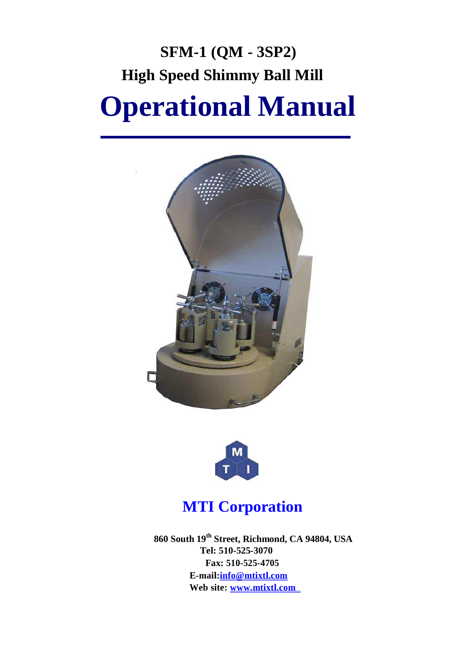# **SFM-1 (QM - 3SP2) High Speed Shimmy Ball Mill Operational Manual**





# **MTI Corporation**

**860 South 19th Street, Richmond, CA 94804, USA Tel: 510-525-3070 Fax: 510-525-4705 [E-mail:info@mtixtl.com](mailto:E-mail:info@mtixtl.com) Web site: [www.mtixtl.com](http://www.mtixtl.com/)**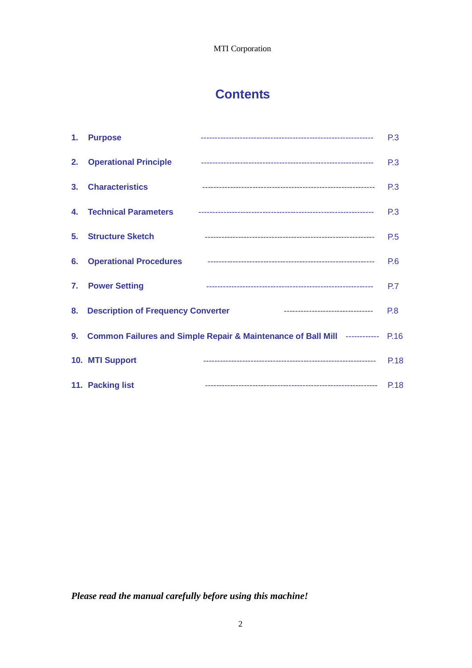# **Contents**

|                | 1. Purpose                            |                                                                                                                | <b>P.3</b>     |
|----------------|---------------------------------------|----------------------------------------------------------------------------------------------------------------|----------------|
|                |                                       | 2. Operational Principle 2. 2010 2. 2010 2. 2010 2. 2010 2. 2010 2. 2010 2. 2010 2. 2010 2. 2010 2. 2010 2. 20 | P <sub>3</sub> |
| 3 <sub>1</sub> | <b>Characteristics</b>                |                                                                                                                | P.3            |
|                |                                       |                                                                                                                | P.3            |
|                | 5. Structure Sketch                   |                                                                                                                | P.5            |
|                | <b>6. Operational Procedures</b>      |                                                                                                                | <b>P.6</b>     |
|                | 7. Power Setting                      |                                                                                                                | P.7            |
|                | 8. Description of Frequency Converter | ---------------------------------                                                                              | <b>P.8</b>     |
|                |                                       | 9. Common Failures and Simple Repair & Maintenance of Ball Mill ------------ P.16                              |                |
|                | 10. MTI Support                       |                                                                                                                | <b>P.18</b>    |
|                | 11. Packing list                      |                                                                                                                |                |

*Please read the manual carefully before using this machine!*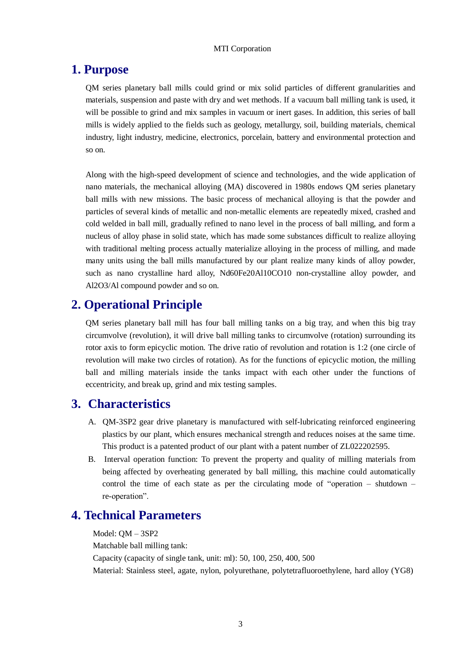### **1. Purpose**

QM series planetary ball mills could grind or mix solid particles of different granularities and materials, suspension and paste with dry and wet methods. If a vacuum ball milling tank is used, it will be possible to grind and mix samples in vacuum or inert gases. In addition, this series of ball mills is widely applied to the fields such as geology, metallurgy, soil, building materials, chemical industry, light industry, medicine, electronics, porcelain, battery and environmental protection and so on.

Along with the high-speed development of science and technologies, and the wide application of nano materials, the mechanical alloying (MA) discovered in 1980s endows QM series planetary ball mills with new missions. The basic process of mechanical alloying is that the powder and particles of several kinds of metallic and non-metallic elements are repeatedly mixed, crashed and cold welded in ball mill, gradually refined to nano level in the process of ball milling, and form a nucleus of alloy phase in solid state, which has made some substances difficult to realize alloying with traditional melting process actually materialize alloying in the process of milling, and made many units using the ball mills manufactured by our plant realize many kinds of alloy powder, such as nano crystalline hard alloy, Nd60Fe20Al10CO10 non-crystalline alloy powder, and Al2O3/Al compound powder and so on.

# **2. Operational Principle**

QM series planetary ball mill has four ball milling tanks on a big tray, and when this big tray circumvolve (revolution), it will drive ball milling tanks to circumvolve (rotation) surrounding its rotor axis to form epicyclic motion. The drive ratio of revolution and rotation is 1:2 (one circle of revolution will make two circles of rotation). As for the functions of epicyclic motion, the milling ball and milling materials inside the tanks impact with each other under the functions of eccentricity, and break up, grind and mix testing samples.

### **3. Characteristics**

- A. QM-3SP2 gear drive planetary is manufactured with self-lubricating reinforced engineering plastics by our plant, which ensures mechanical strength and reduces noises at the same time. This product is a patented product of our plant with a patent number of ZL022202595.
- B. Interval operation function: To prevent the property and quality of milling materials from being affected by overheating generated by ball milling, this machine could automatically control the time of each state as per the circulating mode of "operation – shutdown – re-operation".

## **4. Technical Parameters**

Model: QM – 3SP2 Matchable ball milling tank: Capacity (capacity of single tank, unit: ml): 50, 100, 250, 400, 500 Material: Stainless steel, agate, nylon, polyurethane, polytetrafluoroethylene, hard alloy (YG8)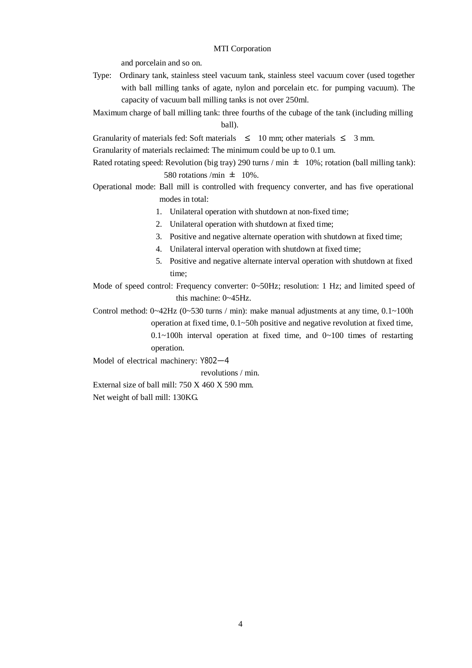and porcelain and so on.

- Type: Ordinary tank, stainless steel vacuum tank, stainless steel vacuum cover (used together with ball milling tanks of agate, nylon and porcelain etc. for pumping vacuum). The capacity of vacuum ball milling tanks is not over 250ml.
- Maximum charge of ball milling tank: three fourths of the cubage of the tank (including milling ball).

Granularity of materials fed: Soft materials  $\leq 10$  mm; other materials  $\leq 3$  mm.

Granularity of materials reclaimed: The minimum could be up to 0.1 um.

Rated rotating speed: Revolution (big tray) 290 turns / min  $\pm$  10%; rotation (ball milling tank): 580 rotations /min  $\pm$  10%.

- Operational mode: Ball mill is controlled with frequency converter, and has five operational modes in total:
	- 1. Unilateral operation with shutdown at non-fixed time;
	- 2. Unilateral operation with shutdown at fixed time;
	- 3. Positive and negative alternate operation with shutdown at fixed time;
	- 4. Unilateral interval operation with shutdown at fixed time;
	- 5. Positive and negative alternate interval operation with shutdown at fixed time:

Mode of speed control: Frequency converter: 0~50Hz; resolution: 1 Hz; and limited speed of this machine: 0~45Hz.

Control method:  $0 \sim 42$ Hz ( $0 \sim 530$  turns / min): make manual adjustments at any time,  $0.1 \sim 100$ h operation at fixed time, 0.1~50h positive and negative revolution at fixed time,  $0.1 \sim 100$ h interval operation at fixed time, and  $0 \sim 100$  times of restarting

operation.

Model of electrical machinery: Y802—4

revolutions / min.

External size of ball mill: 750 X 460 X 590 mm. Net weight of ball mill: 130KG.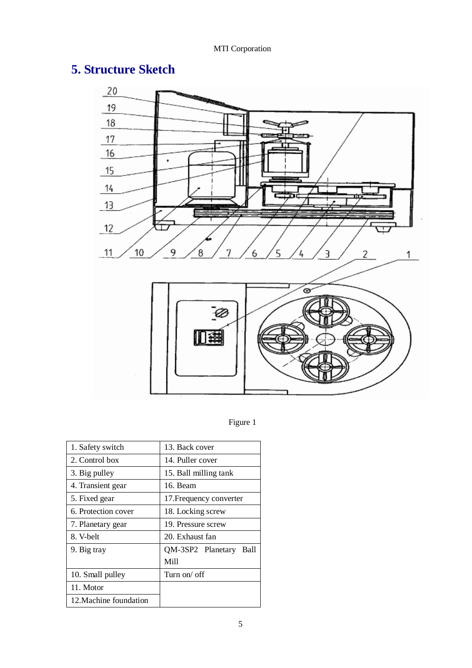# **5. Structure Sketch**



Figure 1

| 1. Safety switch       | 13. Back cover            |
|------------------------|---------------------------|
| 2. Control box         | 14. Puller cover          |
| 3. Big pulley          | 15. Ball milling tank     |
| 4. Transient gear      | 16. Beam                  |
| 5. Fixed gear          | 17. Frequency converter   |
| 6. Protection cover    | 18. Locking screw         |
| 7. Planetary gear      | 19. Pressure screw        |
| 8. V-belt              | 20. Exhaust fan           |
| 9. Big tray            | QM-3SP2 Planetary<br>Ball |
|                        | Mill                      |
| 10. Small pulley       | Turn on/ off              |
| 11. Motor              |                           |
| 12. Machine foundation |                           |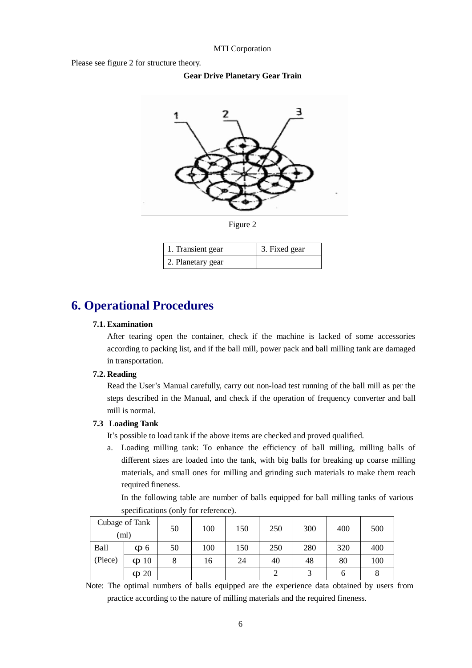Please see figure 2 for structure theory.

**Gear Drive Planetary Gear Train**



| 1. Transient gear | 3. Fixed gear |
|-------------------|---------------|
| 2. Planetary gear |               |

# **6. Operational Procedures**

#### **7.1. Examination**

After tearing open the container, check if the machine is lacked of some accessories according to packing list, and if the ball mill, power pack and ball milling tank are damaged in transportation.

#### **7.2. Reading**

Read the User's Manual carefully, carry out non-load test running of the ball mill as per the steps described in the Manual, and check if the operation of frequency converter and ball mill is normal.

#### **7.3 Loading Tank**

It's possible to load tank if the above items are checked and proved qualified.

a. Loading milling tank: To enhance the efficiency of ball milling, milling balls of different sizes are loaded into the tank, with big balls for breaking up coarse milling materials, and small ones for milling and grinding such materials to make them reach required fineness.

In the following table are number of balls equipped for ball milling tanks of various specifications (only for reference).

| Cubage of Tank<br>(ml) |           | 50 | 100 | 150 | 250 | 300 | 400 | 500 |
|------------------------|-----------|----|-----|-----|-----|-----|-----|-----|
| <b>Ball</b>            | $\Phi$ 6  | 50 | 100 | 150 | 250 | 280 | 320 | 400 |
| (Piece)                | $\Phi$ 10 |    | 16  | 24  | 40  | 48  | 80  | 100 |
|                        | $\Phi$ 20 |    |     |     |     |     |     |     |

Note: The optimal numbers of balls equipped are the experience data obtained by users from practice according to the nature of milling materials and the required fineness.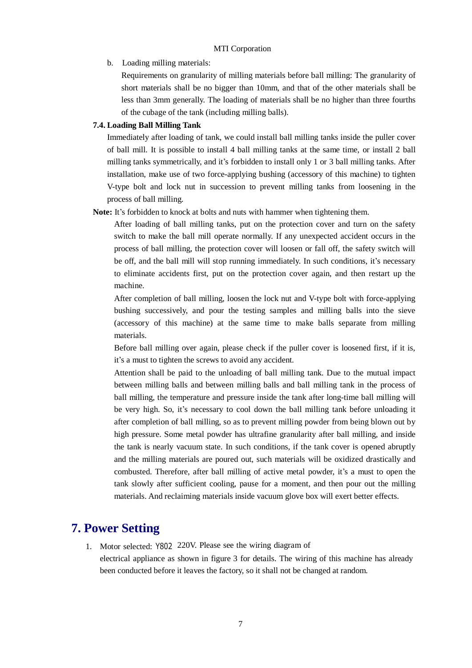b. Loading milling materials:

Requirements on granularity of milling materials before ball milling: The granularity of short materials shall be no bigger than 10mm, and that of the other materials shall be less than 3mm generally. The loading of materials shall be no higher than three fourths of the cubage of the tank (including milling balls).

#### **7.4. Loading Ball Milling Tank**

Immediately after loading of tank, we could install ball milling tanks inside the puller cover of ball mill. It is possible to install 4 ball milling tanks at the same time, or install 2 ball milling tanks symmetrically, and it's forbidden to install only 1 or 3 ball milling tanks. After installation, make use of two force-applying bushing (accessory of this machine) to tighten V-type bolt and lock nut in succession to prevent milling tanks from loosening in the process of ball milling.

#### **Note:** It's forbidden to knock at bolts and nuts with hammer when tightening them.

After loading of ball milling tanks, put on the protection cover and turn on the safety switch to make the ball mill operate normally. If any unexpected accident occurs in the process of ball milling, the protection cover will loosen or fall off, the safety switch will be off, and the ball mill will stop running immediately. In such conditions, it's necessary to eliminate accidents first, put on the protection cover again, and then restart up the machine.

After completion of ball milling, loosen the lock nut and V-type bolt with force-applying bushing successively, and pour the testing samples and milling balls into the sieve (accessory of this machine) at the same time to make balls separate from milling materials.

Before ball milling over again, please check if the puller cover is loosened first, if it is, it's a must to tighten the screws to avoid any accident.

Attention shall be paid to the unloading of ball milling tank. Due to the mutual impact between milling balls and between milling balls and ball milling tank in the process of ball milling, the temperature and pressure inside the tank after long-time ball milling will be very high. So, it's necessary to cool down the ball milling tank before unloading it after completion of ball milling, so as to prevent milling powder from being blown out by high pressure. Some metal powder has ultrafine granularity after ball milling, and inside the tank is nearly vacuum state. In such conditions, if the tank cover is opened abruptly and the milling materials are poured out, such materials will be oxidized drastically and combusted. Therefore, after ball milling of active metal powder, it's a must to open the tank slowly after sufficient cooling, pause for a moment, and then pour out the milling materials. And reclaiming materials inside vacuum glove box will exert better effects.

# **7. Power Setting**

1. Motor selected: Y802 220V. Please see the wiring diagram of electrical appliance as shown in figure 3 for details. The wiring of this machine has already been conducted before it leaves the factory, so it shall not be changed at random.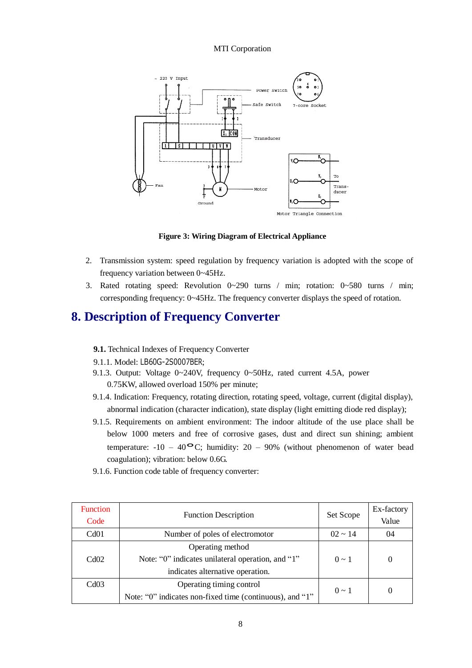

**Figure 3: Wiring Diagram of Electrical Appliance**

- 2. Transmission system: speed regulation by frequency variation is adopted with the scope of frequency variation between 0~45Hz.
- 3. Rated rotating speed: Revolution 0~290 turns / min; rotation: 0~580 turns / min; corresponding frequency: 0~45Hz. The frequency converter displays the speed of rotation.

### **8. Description of Frequency Converter**

- **9.1.** Technical Indexes of Frequency Converter
- 9.1.1. Model: LB60G-2S0007BER;
- 9.1.3. Output: Voltage 0~240V, frequency 0~50Hz, rated current 4.5A, power 0.75KW, allowed overload 150% per minute;
- 9.1.4. Indication: Frequency, rotating direction, rotating speed, voltage, current (digital display), abnormal indication (character indication), state display (light emitting diode red display);
- 9.1.5. Requirements on ambient environment: The indoor altitude of the use place shall be below 1000 meters and free of corrosive gases, dust and direct sun shining; ambient temperature:  $-10 - 40$ <sup>o</sup>C; humidity: 20 – 90% (without phenomenon of water bead coagulation); vibration: below 0.6G.
- 9.1.6. Function code table of frequency converter:

| <b>Function</b><br>Code | <b>Function Description</b>                              | Set Scope    | Ex-factory<br>Value |
|-------------------------|----------------------------------------------------------|--------------|---------------------|
| Cd01                    | Number of poles of electromotor                          | $02 \sim 14$ | 04                  |
|                         | Operating method                                         |              |                     |
| Cd02                    | Note: "0" indicates unilateral operation, and "1"        | $0 \sim 1$   |                     |
|                         | indicates alternative operation.                         |              |                     |
| Cd03                    | Operating timing control                                 |              |                     |
|                         | Note: "0" indicates non-fixed time (continuous), and "1" | $0 \sim 1$   |                     |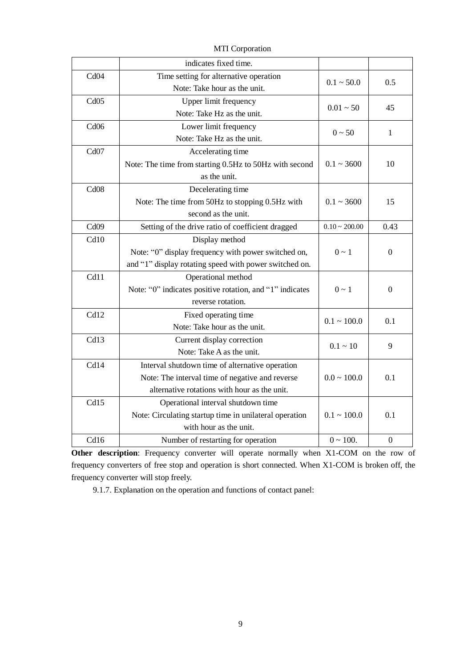|                  | indicates fixed time.                                    |                    |                  |
|------------------|----------------------------------------------------------|--------------------|------------------|
| Cd04             | Time setting for alternative operation                   | $0.1 \sim 50.0$    | 0.5              |
|                  | Note: Take hour as the unit.                             |                    |                  |
| Cd05             | Upper limit frequency                                    | $0.01 - 50$        | 45               |
|                  | Note: Take Hz as the unit.                               |                    |                  |
| Cd06             | Lower limit frequency                                    | $0 - 50$           |                  |
|                  | Note: Take Hz as the unit.                               |                    | 1                |
| Cd <sub>07</sub> | Accelerating time                                        |                    |                  |
|                  | Note: The time from starting 0.5Hz to 50Hz with second   | $0.1 \sim 3600$    | 10               |
|                  | as the unit.                                             |                    |                  |
| Cd08             | Decelerating time                                        |                    |                  |
|                  | Note: The time from 50Hz to stopping 0.5Hz with          | $0.1 - 3600$       | 15               |
|                  | second as the unit.                                      |                    |                  |
| Cd <sub>09</sub> | Setting of the drive ratio of coefficient dragged        | $0.10 \sim 200.00$ | 0.43             |
| Cd10             | Display method                                           |                    |                  |
|                  | Note: "0" display frequency with power switched on,      | $0 \sim 1$         | $\boldsymbol{0}$ |
|                  | and "1" display rotating speed with power switched on.   |                    |                  |
| Cd11             | Operational method                                       |                    |                  |
|                  | Note: "0" indicates positive rotation, and "1" indicates | $0 \sim 1$         | $\boldsymbol{0}$ |
|                  | reverse rotation.                                        |                    |                  |
| Cd12             | Fixed operating time                                     | $0.1 \sim 100.0$   | 0.1              |
|                  | Note: Take hour as the unit.                             |                    |                  |
| Cd13             | Current display correction                               | $0.1 - 10$         | 9                |
|                  | Note: Take A as the unit.                                |                    |                  |
| Cd14             | Interval shutdown time of alternative operation          |                    |                  |
|                  | Note: The interval time of negative and reverse          | $0.0 \sim 100.0$   | 0.1              |
|                  | alternative rotations with hour as the unit.             |                    |                  |
| Cd15             | Operational interval shutdown time                       |                    |                  |
|                  | Note: Circulating startup time in unilateral operation   | $0.1 \sim 100.0$   | 0.1              |
|                  | with hour as the unit.                                   |                    |                  |
| Cd16             | Number of restarting for operation                       | $0 \sim 100$ .     | $\mathbf{0}$     |

**Other description**: Frequency converter will operate normally when X1-COM on the row of frequency converters of free stop and operation is short connected. When X1-COM is broken off, the frequency converter will stop freely.

9.1.7. Explanation on the operation and functions of contact panel: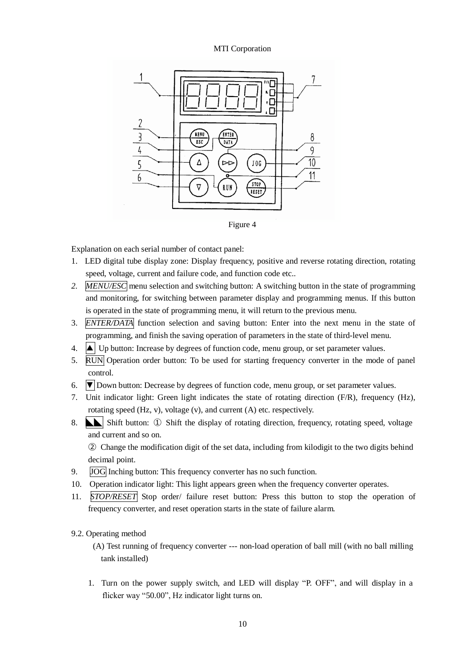

Figure 4

Explanation on each serial number of contact panel:

- 1. LED digital tube display zone: Display frequency, positive and reverse rotating direction, rotating speed, voltage, current and failure code, and function code etc..
- *2. MENU/ESC* menu selection and switching button: A switching button in the state of programming and monitoring, for switching between parameter display and programming menus. If this button is operated in the state of programming menu, it will return to the previous menu.
- 3. *ENTER/DATA* function selection and saving button: Enter into the next menu in the state of programming, and finish the saving operation of parameters in the state of third-level menu.
- 4.  $\Delta$  Up button: Increase by degrees of function code, menu group, or set parameter values.
- 5. RUN Operation order button: To be used for starting frequency converter in the mode of panel control.
- 6.  $\nabla$  Down button: Decrease by degrees of function code, menu group, or set parameter values.
- 7. Unit indicator light: Green light indicates the state of rotating direction (F/R), frequency (Hz), rotating speed (Hz, v), voltage (v), and current (A) etc. respectively.
- 8. **L** Shift button: ① Shift the display of rotating direction, frequency, rotating speed, voltage and current and so on.

② Change the modification digit of the set data, including from kilodigit to the two digits behind decimal point.

- 9. JOG Inching button: This frequency converter has no such function.
- 10. Operation indicator light: This light appears green when the frequency converter operates.
- 11. *STOP/RESET* Stop order/ failure reset button: Press this button to stop the operation of frequency converter, and reset operation starts in the state of failure alarm.

#### 9.2. Operating method

(A) Test running of frequency converter --- non-load operation of ball mill (with no ball milling tank installed)

1. Turn on the power supply switch, and LED will display "P. OFF", and will display in a flicker way "50.00", Hz indicator light turns on.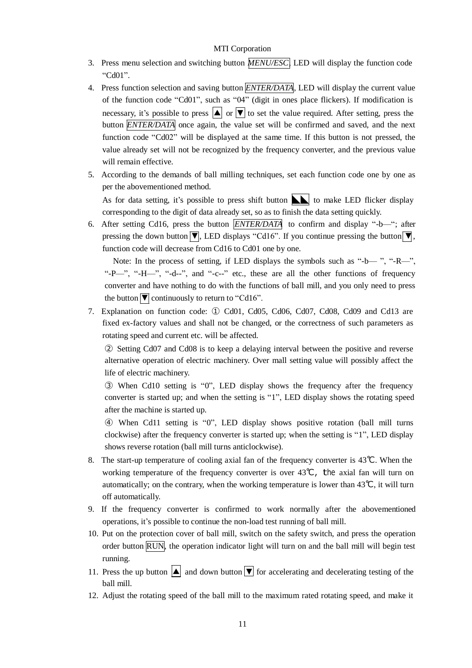- 3. Press menu selection and switching button *MENU/ESC*, LED will display the function code "Cd01".
- 4. Press function selection and saving button *ENTER/DATA*, LED will display the current value of the function code "Cd01", such as "04" (digit in ones place flickers). If modification is necessary, it's possible to press  $|\blacktriangle|$  or  $|\blacktriangledown|$  to set the value required. After setting, press the button *ENTER/DATA* once again, the value set will be confirmed and saved, and the next function code "Cd02" will be displayed at the same time. If this button is not pressed, the value already set will not be recognized by the frequency converter, and the previous value will remain effective.
- 5. According to the demands of ball milling techniques, set each function code one by one as per the abovementioned method.

As for data setting, it's possible to press shift button  $\|\cdot\|$  to make LED flicker display corresponding to the digit of data already set, so as to finish the data setting quickly.

6. After setting Cd16, press the button *ENTER/DATA* to confirm and display "-b—"; after pressing the down button  $\blacktriangledown$ , LED displays "Cd16". If you continue pressing the button  $\blacktriangledown$ , function code will decrease from Cd16 to Cd01 one by one.

Note: In the process of setting, if LED displays the symbols such as "-b— ", "-R—", "-P—", "-H—", "-d--", and "-c--" etc., these are all the other functions of frequency converter and have nothing to do with the functions of ball mill, and you only need to press the button  $\sqrt{\nabla}$  continuously to return to "Cd16".

7. Explanation on function code: ① Cd01, Cd05, Cd06, Cd07, Cd08, Cd09 and Cd13 are fixed ex-factory values and shall not be changed, or the correctness of such parameters as rotating speed and current etc. will be affected.

② Setting Cd07 and Cd08 is to keep a delaying interval between the positive and reverse alternative operation of electric machinery. Over mall setting value will possibly affect the life of electric machinery.

③ When Cd10 setting is "0", LED display shows the frequency after the frequency converter is started up; and when the setting is "1", LED display shows the rotating speed after the machine is started up.

④ When Cd11 setting is "0", LED display shows positive rotation (ball mill turns clockwise) after the frequency converter is started up; when the setting is "1", LED display shows reverse rotation (ball mill turns anticlockwise).

- 8. The start-up temperature of cooling axial fan of the frequency converter is 43℃. When the working temperature of the frequency converter is over 43℃, the axial fan will turn on automatically; on the contrary, when the working temperature is lower than  $43^{\circ}C$ , it will turn off automatically.
- 9. If the frequency converter is confirmed to work normally after the abovementioned operations, it's possible to continue the non-load test running of ball mill.
- 10. Put on the protection cover of ball mill, switch on the safety switch, and press the operation order button RUN, the operation indicator light will turn on and the ball mill will begin test running.
- 11. Press the up button  $\boxed{\blacktriangle}$  and down button  $\boxed{\blacktriangledown}$  for accelerating and decelerating testing of the ball mill.
- 12. Adjust the rotating speed of the ball mill to the maximum rated rotating speed, and make it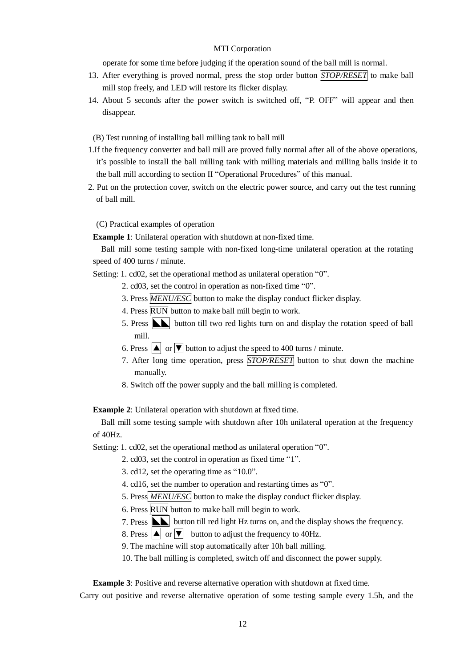operate for some time before judging if the operation sound of the ball mill is normal.

- 13. After everything is proved normal, press the stop order button *STOP/RESET* to make ball mill stop freely, and LED will restore its flicker display.
- 14. About 5 seconds after the power switch is switched off, "P. OFF" will appear and then disappear.

(B) Test running of installing ball milling tank to ball mill

- 1.If the frequency converter and ball mill are proved fully normal after all of the above operations, it's possible to install the ball milling tank with milling materials and milling balls inside it to the ball mill according to section II "Operational Procedures" of this manual.
- 2. Put on the protection cover, switch on the electric power source, and carry out the test running of ball mill.

(C) Practical examples of operation

**Example 1**: Unilateral operation with shutdown at non-fixed time.

Ball mill some testing sample with non-fixed long-time unilateral operation at the rotating speed of 400 turns / minute.

Setting: 1. cd02, set the operational method as unilateral operation "0".

- 2. cd03, set the control in operation as non-fixed time "0".
- 3. Press *MENU/ESC* button to make the display conduct flicker display.
- 4. Press RUN button to make ball mill begin to work.
- 5. Press **N** button till two red lights turn on and display the rotation speed of ball mill.
- 6. Press  $\Delta$  or  $\overline{\triangledown}$  button to adjust the speed to 400 turns / minute.
- 7. After long time operation, press *STOP/RESET* button to shut down the machine manually.
- 8. Switch off the power supply and the ball milling is completed.

**Example 2**: Unilateral operation with shutdown at fixed time.

Ball mill some testing sample with shutdown after 10h unilateral operation at the frequency of 40Hz.

Setting: 1. cd02, set the operational method as unilateral operation "0".

- 2. cd03, set the control in operation as fixed time "1".
- 3. cd12, set the operating time as "10.0".
- 4. cd16, set the number to operation and restarting times as "0".
- 5. Press *MENU/ESC* button to make the display conduct flicker display.
- 6. Press RUN button to make ball mill begin to work.
- 7. Press  $\sum$  button till red light Hz turns on, and the display shows the frequency.
- 8. Press  $\boxed{\blacktriangle}$  or  $\boxed{\blacktriangledown}$  button to adjust the frequency to 40Hz.
- 9. The machine will stop automatically after 10h ball milling.
- 10. The ball milling is completed, switch off and disconnect the power supply.

**Example 3**: Positive and reverse alternative operation with shutdown at fixed time.

Carry out positive and reverse alternative operation of some testing sample every 1.5h, and the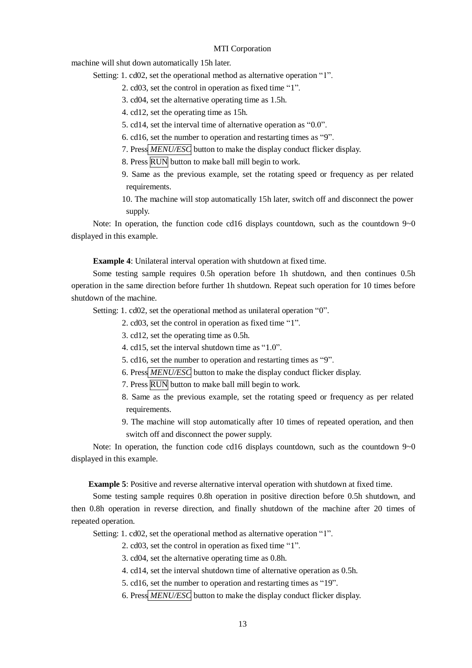machine will shut down automatically 15h later.

Setting: 1. cd02, set the operational method as alternative operation "1".

- 2. cd03, set the control in operation as fixed time "1".
- 3. cd04, set the alternative operating time as 1.5h.

4. cd12, set the operating time as 15h.

5. cd14, set the interval time of alternative operation as "0.0".

6. cd16, set the number to operation and restarting times as "9".

- 7. Press *MENU/ESC* button to make the display conduct flicker display.
- 8. Press RUN button to make ball mill begin to work.
- 9. Same as the previous example, set the rotating speed or frequency as per related requirements.
- 10. The machine will stop automatically 15h later, switch off and disconnect the power supply.

Note: In operation, the function code cd16 displays countdown, such as the countdown  $9\n\neg$ 0 displayed in this example.

**Example 4**: Unilateral interval operation with shutdown at fixed time.

Some testing sample requires 0.5h operation before 1h shutdown, and then continues 0.5h operation in the same direction before further 1h shutdown. Repeat such operation for 10 times before shutdown of the machine.

Setting: 1. cd02, set the operational method as unilateral operation "0".

2. cd03, set the control in operation as fixed time "1".

3. cd12, set the operating time as 0.5h.

- 4. cd15, set the interval shutdown time as "1.0".
- 5. cd16, set the number to operation and restarting times as "9".
- 6. Press *MENU/ESC* button to make the display conduct flicker display.
- 7. Press RUN button to make ball mill begin to work.
- 8. Same as the previous example, set the rotating speed or frequency as per related requirements.
- 9. The machine will stop automatically after 10 times of repeated operation, and then switch off and disconnect the power supply.

Note: In operation, the function code cd16 displays countdown, such as the countdown 9~0 displayed in this example.

**Example 5**: Positive and reverse alternative interval operation with shutdown at fixed time.

Some testing sample requires 0.8h operation in positive direction before 0.5h shutdown, and then 0.8h operation in reverse direction, and finally shutdown of the machine after 20 times of repeated operation.

Setting: 1. cd02, set the operational method as alternative operation "1".

2. cd03, set the control in operation as fixed time "1".

- 3. cd04, set the alternative operating time as 0.8h.
- 4. cd14, set the interval shutdown time of alternative operation as 0.5h.
- 5. cd16, set the number to operation and restarting times as "19".
- 6. Press *MENU/ESC* button to make the display conduct flicker display.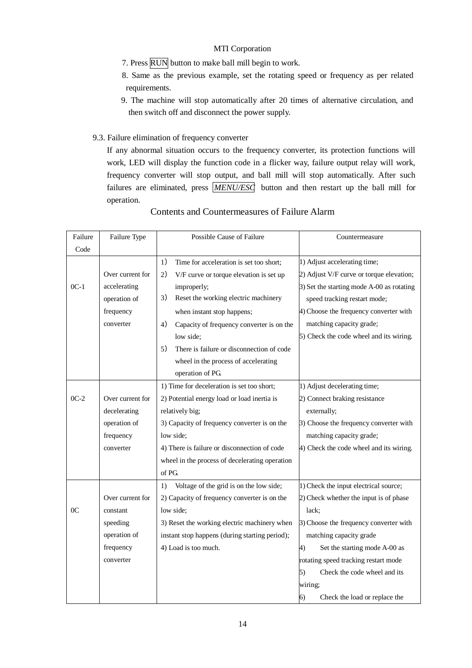- 7. Press RUN button to make ball mill begin to work.
- 8. Same as the previous example, set the rotating speed or frequency as per related requirements.
- 9. The machine will stop automatically after 20 times of alternative circulation, and then switch off and disconnect the power supply.
- 9.3. Failure elimination of frequency converter

If any abnormal situation occurs to the frequency converter, its protection functions will work, LED will display the function code in a flicker way, failure output relay will work, frequency converter will stop output, and ball mill will stop automatically. After such failures are eliminated, press *MENU/ESC* button and then restart up the ball mill for operation.

| Failure        | Failure Type     | Possible Cause of Failure<br>Countermeasure                                               |
|----------------|------------------|-------------------------------------------------------------------------------------------|
| Code           |                  |                                                                                           |
|                |                  | 1) Adjust accelerating time;<br>1)<br>Time for acceleration is set too short;             |
|                | Over current for | 2) Adjust V/F curve or torque elevation;<br>2)<br>V/F curve or torque elevation is set up |
| $0C-1$         | accelerating     | 3) Set the starting mode A-00 as rotating<br>improperly;                                  |
|                | operation of     | 3)<br>Reset the working electric machinery<br>speed tracking restart mode;                |
|                | frequency        | 4) Choose the frequency converter with<br>when instant stop happens;                      |
|                | converter        | matching capacity grade;<br>4)<br>Capacity of frequency converter is on the               |
|                |                  | 5) Check the code wheel and its wiring.<br>low side;                                      |
|                |                  | There is failure or disconnection of code<br>5)                                           |
|                |                  | wheel in the process of accelerating                                                      |
|                |                  | operation of PG.                                                                          |
|                |                  | 1) Time for deceleration is set too short;<br>1) Adjust decelerating time;                |
| $0C-2$         | Over current for | 2) Connect braking resistance<br>2) Potential energy load or load inertia is              |
|                | decelerating     | relatively big;<br>externally;                                                            |
|                | operation of     | 3) Capacity of frequency converter is on the<br>3) Choose the frequency converter with    |
|                | frequency        | low side:<br>matching capacity grade;                                                     |
|                | converter        | 4) There is failure or disconnection of code<br>4) Check the code wheel and its wiring.   |
|                |                  | wheel in the process of decelerating operation                                            |
|                |                  | of PG.                                                                                    |
|                |                  | Voltage of the grid is on the low side;<br>1) Check the input electrical source;<br>1)    |
|                | Over current for | 2) Capacity of frequency converter is on the<br>2) Check whether the input is of phase    |
| 0 <sup>C</sup> | constant         | low side;<br>lack;                                                                        |
|                | speeding         | 3) Choose the frequency converter with<br>3) Reset the working electric machinery when    |
|                | operation of     | matching capacity grade<br>instant stop happens (during starting period);                 |
|                | frequency        | 4) Load is too much.<br>Set the starting mode A-00 as<br>4)                               |
|                | converter        | rotating speed tracking restart mode                                                      |
|                |                  | Check the code wheel and its<br>5)                                                        |
|                |                  | wiring;                                                                                   |
|                |                  | Check the load or replace the<br>6)                                                       |

### Contents and Countermeasures of Failure Alarm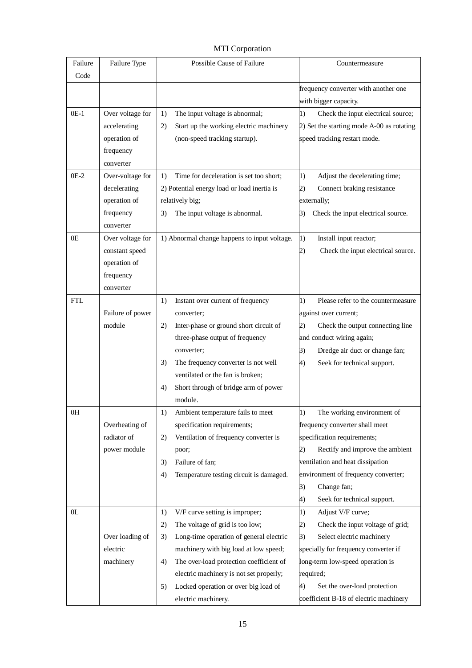| Failure<br>Code | Failure Type     | Possible Cause of Failure                     | Countermeasure                                              |
|-----------------|------------------|-----------------------------------------------|-------------------------------------------------------------|
|                 |                  |                                               | frequency converter with another one                        |
|                 |                  |                                               | with bigger capacity.                                       |
| $0E-1$          | Over voltage for | The input voltage is abnormal;<br>1)          | 1)<br>Check the input electrical source;                    |
|                 | accelerating     | Start up the working electric machinery<br>2) | 2) Set the starting mode A-00 as rotating                   |
|                 | operation of     | (non-speed tracking startup).                 | speed tracking restart mode.                                |
|                 | frequency        |                                               |                                                             |
|                 | converter        |                                               |                                                             |
| $OE-2$          | Over-voltage for | Time for deceleration is set too short;<br>1) | $\left( \mathbf{1}\right)$<br>Adjust the decelerating time; |
|                 | decelerating     | 2) Potential energy load or load inertia is   | Connect braking resistance<br>2)                            |
|                 | operation of     | relatively big;                               | externally;                                                 |
|                 | frequency        | The input voltage is abnormal.<br>3)          | Check the input electrical source.<br>3)                    |
|                 | converter        |                                               |                                                             |
| 0E              | Over voltage for | 1) Abnormal change happens to input voltage.  | $\left( \mathbf{1}\right)$<br>Install input reactor;        |
|                 | constant speed   |                                               | Check the input electrical source.<br>2)                    |
|                 | operation of     |                                               |                                                             |
|                 | frequency        |                                               |                                                             |
|                 | converter        |                                               |                                                             |
| <b>FTL</b>      |                  | Instant over current of frequency<br>1)       | Please refer to the countermeasure<br>1)                    |
|                 | Failure of power | converter;                                    | against over current;                                       |
|                 | module           | Inter-phase or ground short circuit of<br>2)  | Check the output connecting line<br>2)                      |
|                 |                  | three-phase output of frequency               | and conduct wiring again;                                   |
|                 |                  | converter;                                    | 3)<br>Dredge air duct or change fan;                        |
|                 |                  | The frequency converter is not well<br>3)     | 4)<br>Seek for technical support.                           |
|                 |                  | ventilated or the fan is broken;              |                                                             |
|                 |                  | Short through of bridge arm of power<br>4)    |                                                             |
|                 |                  | module.                                       |                                                             |
| 0H              |                  | Ambient temperature fails to meet<br>1)       | The working environment of<br>1)                            |
|                 | Overheating of   | specification requirements;                   | frequency converter shall meet                              |
|                 | radiator of      | Ventilation of frequency converter is<br>2)   | specification requirements;                                 |
|                 | power module     | poor;                                         | Rectify and improve the ambient<br>2)                       |
|                 |                  | Failure of fan;<br>3)                         | ventilation and heat dissipation                            |
|                 |                  | Temperature testing circuit is damaged.<br>4) | environment of frequency converter;                         |
|                 |                  |                                               | Change fan;<br>3)                                           |
|                 |                  |                                               | 4)<br>Seek for technical support.                           |
| 0 <sub>L</sub>  |                  | V/F curve setting is improper;<br>1)          | 1)<br>Adjust V/F curve;                                     |
|                 |                  | The voltage of grid is too low;<br>2)         | Check the input voltage of grid;<br>2)                      |
|                 | Over loading of  | Long-time operation of general electric<br>3) | Select electric machinery<br>3)                             |
|                 | electric         | machinery with big load at low speed;         | specially for frequency converter if                        |
|                 | machinery        | The over-load protection coefficient of<br>4) | long-term low-speed operation is                            |
|                 |                  | electric machinery is not set properly;       | required;                                                   |
|                 |                  | Locked operation or over big load of<br>5)    | Set the over-load protection<br>4)                          |
|                 |                  | electric machinery.                           | coefficient B-18 of electric machinery                      |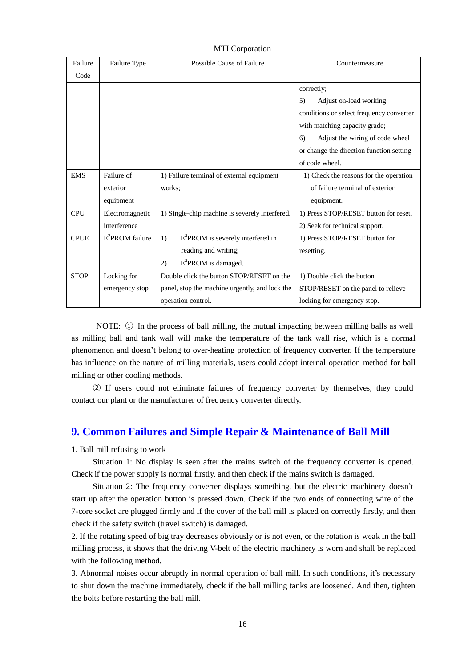| Failure     | Failure Type       | Possible Cause of Failure                      | Countermeasure                           |
|-------------|--------------------|------------------------------------------------|------------------------------------------|
| Code        |                    |                                                |                                          |
|             |                    |                                                | correctly;                               |
|             |                    |                                                | Adjust on-load working<br>5)             |
|             |                    |                                                | conditions or select frequency converter |
|             |                    |                                                | with matching capacity grade;            |
|             |                    |                                                | Adjust the wiring of code wheel<br>(6)   |
|             |                    |                                                | or change the direction function setting |
|             |                    |                                                | of code wheel.                           |
| <b>EMS</b>  | Failure of         | 1) Failure terminal of external equipment      | 1) Check the reasons for the operation   |
|             | exterior           | works:                                         | of failure terminal of exterior          |
|             | equipment          |                                                | equipment.                               |
| CPU         | Electromagnetic    | 1) Single-chip machine is severely interfered. | 1) Press STOP/RESET button for reset.    |
|             | interference       |                                                | 2) Seek for technical support.           |
| <b>CPUE</b> | $E^2$ PROM failure | $E^2$ PROM is severely interfered in<br>1)     | 1) Press STOP/RESET button for           |
|             |                    | reading and writing;                           | resetting.                               |
|             |                    | $E^2$ PROM is damaged.<br>2)                   |                                          |
| <b>STOP</b> | Locking for        | Double click the button STOP/RESET on the      | 1) Double click the button               |
|             | emergency stop     | panel, stop the machine urgently, and lock the | STOP/RESET on the panel to relieve       |
|             |                    | operation control.                             | locking for emergency stop.              |

NOTE: ① In the process of ball milling, the mutual impacting between milling balls as well as milling ball and tank wall will make the temperature of the tank wall rise, which is a normal phenomenon and doesn't belong to over-heating protection of frequency converter. If the temperature has influence on the nature of milling materials, users could adopt internal operation method for ball milling or other cooling methods.

② If users could not eliminate failures of frequency converter by themselves, they could contact our plant or the manufacturer of frequency converter directly.

### **9. Common Failures and Simple Repair & Maintenance of Ball Mill**

1. Ball mill refusing to work

Situation 1: No display is seen after the mains switch of the frequency converter is opened. Check if the power supply is normal firstly, and then check if the mains switch is damaged.

Situation 2: The frequency converter displays something, but the electric machinery doesn't start up after the operation button is pressed down. Check if the two ends of connecting wire of the 7-core socket are plugged firmly and if the cover of the ball mill is placed on correctly firstly, and then check if the safety switch (travel switch) is damaged.

2. If the rotating speed of big tray decreases obviously or is not even, or the rotation is weak in the ball milling process, it shows that the driving V-belt of the electric machinery is worn and shall be replaced with the following method.

3. Abnormal noises occur abruptly in normal operation of ball mill. In such conditions, it's necessary to shut down the machine immediately, check if the ball milling tanks are loosened. And then, tighten the bolts before restarting the ball mill.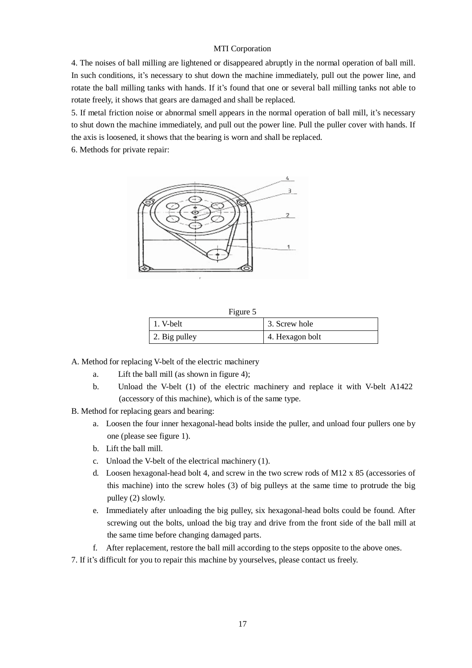4. The noises of ball milling are lightened or disappeared abruptly in the normal operation of ball mill. In such conditions, it's necessary to shut down the machine immediately, pull out the power line, and rotate the ball milling tanks with hands. If it's found that one or several ball milling tanks not able to rotate freely, it shows that gears are damaged and shall be replaced.

5. If metal friction noise or abnormal smell appears in the normal operation of ball mill, it's necessary to shut down the machine immediately, and pull out the power line. Pull the puller cover with hands. If the axis is loosened, it shows that the bearing is worn and shall be replaced.

6. Methods for private repair:



| Figure 5      |                 |
|---------------|-----------------|
| 1. V-belt     | 3. Screw hole   |
| 2. Big pulley | 4. Hexagon bolt |

A. Method for replacing V-belt of the electric machinery

- a. Lift the ball mill (as shown in figure 4);
- b. Unload the V-belt (1) of the electric machinery and replace it with V-belt A1422 (accessory of this machine), which is of the same type.
- B. Method for replacing gears and bearing:
	- a. Loosen the four inner hexagonal-head bolts inside the puller, and unload four pullers one by one (please see figure 1).
	- b. Lift the ball mill.
	- c. Unload the V-belt of the electrical machinery (1).
	- d. Loosen hexagonal-head bolt 4, and screw in the two screw rods of M12 x 85 (accessories of this machine) into the screw holes (3) of big pulleys at the same time to protrude the big pulley (2) slowly.
	- e. Immediately after unloading the big pulley, six hexagonal-head bolts could be found. After screwing out the bolts, unload the big tray and drive from the front side of the ball mill at the same time before changing damaged parts.
	- f. After replacement, restore the ball mill according to the steps opposite to the above ones.
- 7. If it's difficult for you to repair this machine by yourselves, please contact us freely.